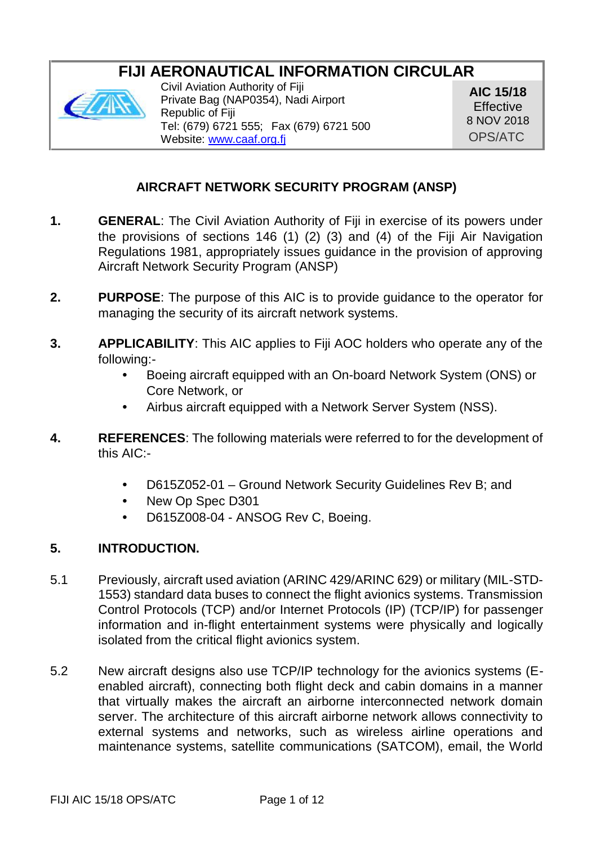# **FIJI AERONAUTICAL INFORMATION CIRCULAR**



Civil Aviation Authority of Fiji Private Bag (NAP0354), Nadi Airport Republic of Fiji Tel: (679) 6721 555; Fax (679) 6721 500 Website: www.caaf.org.fi

**AIC 15/18 Effective** 8 NOV 2018 OPS/ATC

# **AIRCRAFT NETWORK SECURITY PROGRAM (ANSP)**

- **1. GENERAL**: The Civil Aviation Authority of Fiji in exercise of its powers under the provisions of sections 146 (1) (2) (3) and (4) of the Fiji Air Navigation Regulations 1981, appropriately issues guidance in the provision of approving Aircraft Network Security Program (ANSP)
- **2. PURPOSE**: The purpose of this AIC is to provide guidance to the operator for managing the security of its aircraft network systems.
- **3. APPLICABILITY**: This AIC applies to Fiji AOC holders who operate any of the following:-
	- Boeing aircraft equipped with an On-board Network System (ONS) or Core Network, or
	- Airbus aircraft equipped with a Network Server System (NSS).
- **4. REFERENCES**: The following materials were referred to for the development of this AIC:-
	- D615Z052-01 Ground Network Security Guidelines Rev B; and
	- New Op Spec D301
	- D615Z008-04 ANSOG Rev C, Boeing.

# **5. INTRODUCTION.**

- 5.1 Previously, aircraft used aviation (ARINC 429/ARINC 629) or military (MIL-STD- 1553) standard data buses to connect the flight avionics systems. Transmission Control Protocols (TCP) and/or Internet Protocols (IP) (TCP/IP) for passenger information and in-flight entertainment systems were physically and logically isolated from the critical flight avionics system.
- 5.2 New aircraft designs also use TCP/IP technology for the avionics systems (E enabled aircraft), connecting both flight deck and cabin domains in a manner that virtually makes the aircraft an airborne interconnected network domain server. The architecture of this aircraft airborne network allows connectivity to external systems and networks, such as wireless airline operations and maintenance systems, satellite communications (SATCOM), email, the World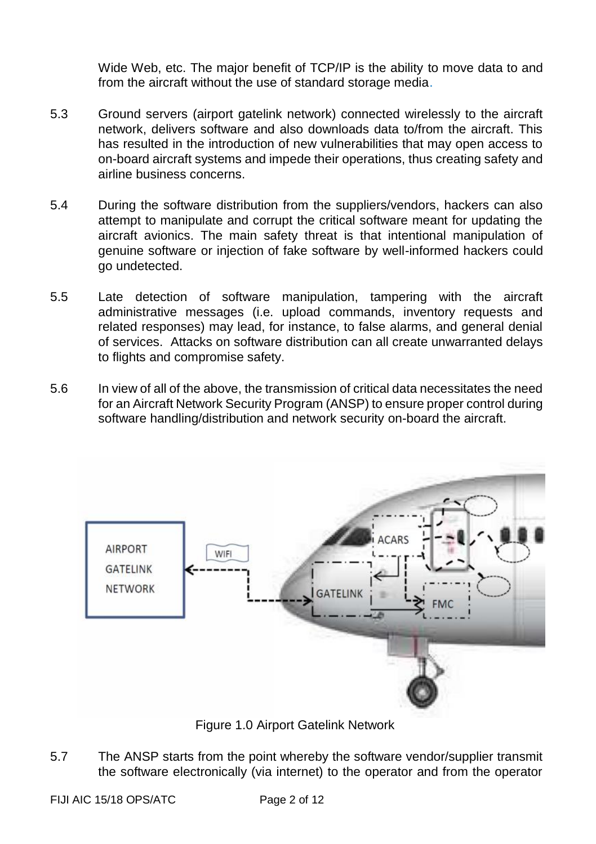Wide Web, etc. The major benefit of TCP/IP is the ability to move data to and from the aircraft without the use of standard storage media.

- 5.3 Ground servers (airport gatelink network) connected wirelessly to the aircraft network, delivers software and also downloads data to/from the aircraft. This has resulted in the introduction of new vulnerabilities that may open access to on-board aircraft systems and impede their operations, thus creating safety and airline business concerns.
- 5.4 During the software distribution from the suppliers/vendors, hackers can also attempt to manipulate and corrupt the critical software meant for updating the aircraft avionics. The main safety threat is that intentional manipulation of genuine software or injection of fake software by well-informed hackers could go undetected.
- 5.5 Late detection of software manipulation, tampering with the aircraft administrative messages (i.e. upload commands, inventory requests and related responses) may lead, for instance, to false alarms, and general denial of services. Attacks on software distribution can all create unwarranted delays to flights and compromise safety.
- 5.6 In view of all of the above, the transmission of critical data necessitates the need for an Aircraft Network Security Program (ANSP) to ensure proper control during software handling/distribution and network security on-board the aircraft.



Figure 1.0 Airport Gatelink Network

5.7 The ANSP starts from the point whereby the software vendor/supplier transmit the software electronically (via internet) to the operator and from the operator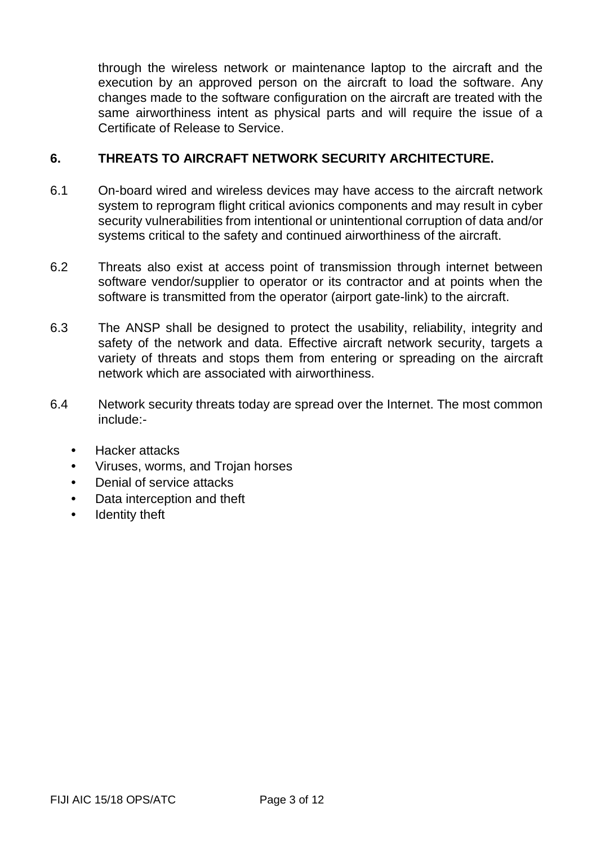through the wireless network or maintenance laptop to the aircraft and the execution by an approved person on the aircraft to load the software. Any changes made to the software configuration on the aircraft are treated with the same airworthiness intent as physical parts and will require the issue of a Certificate of Release to Service.

#### **6. THREATS TO AIRCRAFT NETWORK SECURITY ARCHITECTURE.**

- 6.1 On-board wired and wireless devices may have access to the aircraft network system to reprogram flight critical avionics components and may result in cyber security vulnerabilities from intentional or unintentional corruption of data and/or systems critical to the safety and continued airworthiness of the aircraft.
- 6.2 Threats also exist at access point of transmission through internet between software vendor/supplier to operator or its contractor and at points when the software is transmitted from the operator (airport gate-link) to the aircraft.
- 6.3 The ANSP shall be designed to protect the usability, reliability, integrity and safety of the network and data. Effective aircraft network security, targets a variety of threats and stops them from entering or spreading on the aircraft network which are associated with airworthiness.
- 6.4 Network security threats today are spread over the Internet. The most common include:-
	- Hacker attacks
	- Viruses, worms, and Trojan horses
	- Denial of service attacks
	- Data interception and theft
	- Identity theft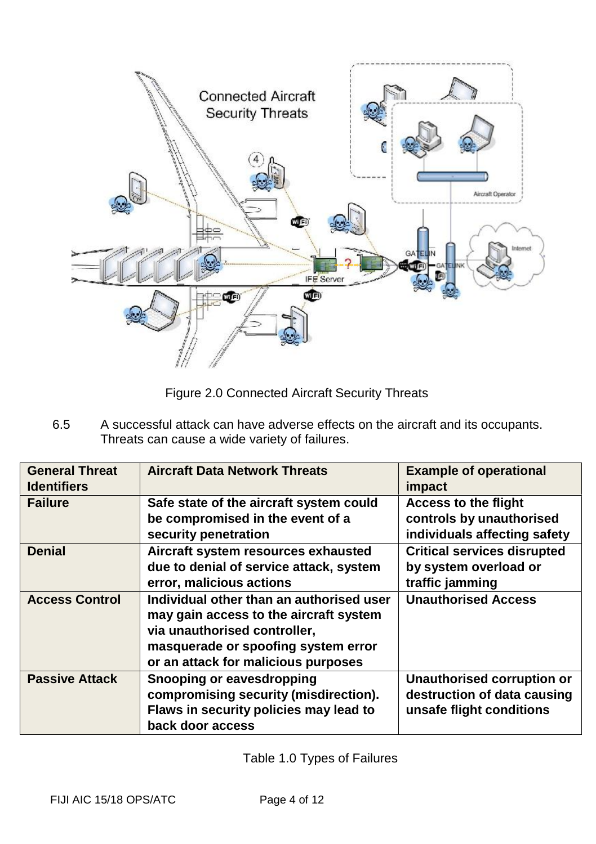

Figure 2.0 Connected Aircraft Security Threats

6.5 A successful attack can have adverse effects on the aircraft and its occupants. Threats can cause a wide variety of failures.

| <b>General Threat</b><br><b>Identifiers</b> | <b>Aircraft Data Network Threats</b>                                                                                                                                                             | <b>Example of operational</b><br>impact                                                 |
|---------------------------------------------|--------------------------------------------------------------------------------------------------------------------------------------------------------------------------------------------------|-----------------------------------------------------------------------------------------|
| <b>Failure</b>                              | Safe state of the aircraft system could<br>be compromised in the event of a<br>security penetration                                                                                              | <b>Access to the flight</b><br>controls by unauthorised<br>individuals affecting safety |
| <b>Denial</b>                               | Aircraft system resources exhausted<br>due to denial of service attack, system<br>error, malicious actions                                                                                       | <b>Critical services disrupted</b><br>by system overload or<br>traffic jamming          |
| <b>Access Control</b>                       | Individual other than an authorised user<br>may gain access to the aircraft system<br>via unauthorised controller,<br>masquerade or spoofing system error<br>or an attack for malicious purposes | <b>Unauthorised Access</b>                                                              |
| <b>Passive Attack</b>                       | Snooping or eavesdropping<br>compromising security (misdirection).<br>Flaws in security policies may lead to<br>back door access                                                                 | Unauthorised corruption or<br>destruction of data causing<br>unsafe flight conditions   |

Table 1.0 Types of Failures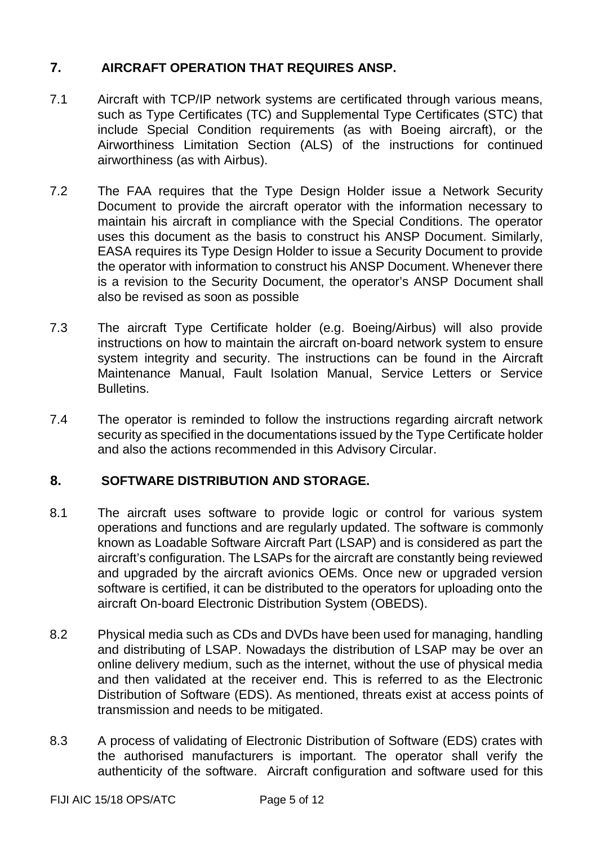# **7. AIRCRAFT OPERATION THAT REQUIRES ANSP.**

- 7.1 Aircraft with TCP/IP network systems are certificated through various means, such as Type Certificates (TC) and Supplemental Type Certificates (STC) that include Special Condition requirements (as with Boeing aircraft), or the Airworthiness Limitation Section (ALS) of the instructions for continued airworthiness (as with Airbus).
- 7.2 The FAA requires that the Type Design Holder issue a Network Security Document to provide the aircraft operator with the information necessary to maintain his aircraft in compliance with the Special Conditions. The operator uses this document as the basis to construct his ANSP Document. Similarly, EASA requires its Type Design Holder to issue a Security Document to provide the operator with information to construct his ANSP Document. Whenever there is a revision to the Security Document, the operator's ANSP Document shall also be revised as soon as possible
- 7.3 The aircraft Type Certificate holder (e.g. Boeing/Airbus) will also provide instructions on how to maintain the aircraft on-board network system to ensure system integrity and security. The instructions can be found in the Aircraft Maintenance Manual, Fault Isolation Manual, Service Letters or Service Bulletins.
- 7.4 The operator is reminded to follow the instructions regarding aircraft network security as specified in the documentations issued by the Type Certificate holder and also the actions recommended in this Advisory Circular.

# **8. SOFTWARE DISTRIBUTION AND STORAGE.**

- 8.1 The aircraft uses software to provide logic or control for various system operations and functions and are regularly updated. The software is commonly known as Loadable Software Aircraft Part (LSAP) and is considered as part the aircraft's configuration. The LSAPs for the aircraft are constantly being reviewed and upgraded by the aircraft avionics OEMs. Once new or upgraded version software is certified, it can be distributed to the operators for uploading onto the aircraft On-board Electronic Distribution System (OBEDS).
- 8.2 Physical media such as CDs and DVDs have been used for managing, handling and distributing of LSAP. Nowadays the distribution of LSAP may be over an online delivery medium, such as the internet, without the use of physical media and then validated at the receiver end. This is referred to as the Electronic Distribution of Software (EDS). As mentioned, threats exist at access points of transmission and needs to be mitigated.
- 8.3 A process of validating of Electronic Distribution of Software (EDS) crates with the authorised manufacturers is important. The operator shall verify the authenticity of the software. Aircraft configuration and software used for this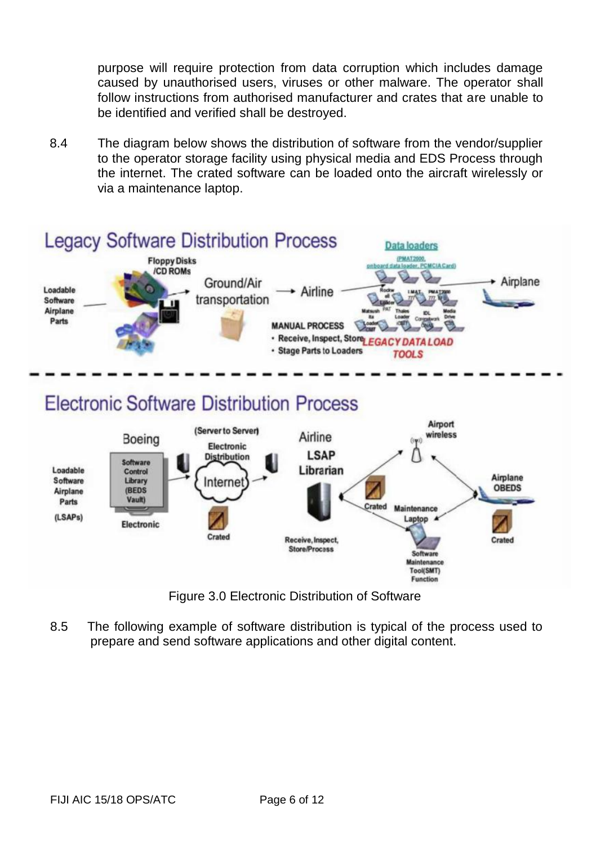purpose will require protection from data corruption which includes damage caused by unauthorised users, viruses or other malware. The operator shall follow instructions from authorised manufacturer and crates that are unable to be identified and verified shall be destroyed.

8.4 The diagram below shows the distribution of software from the vendor/supplier to the operator storage facility using physical media and EDS Process through the internet. The crated software can be loaded onto the aircraft wirelessly or via a maintenance laptop.



Figure 3.0 Electronic Distribution of Software

Tool(SMT) Function

8.5 The following example of software distribution is typical of the process used to prepare and send software applications and other digital content.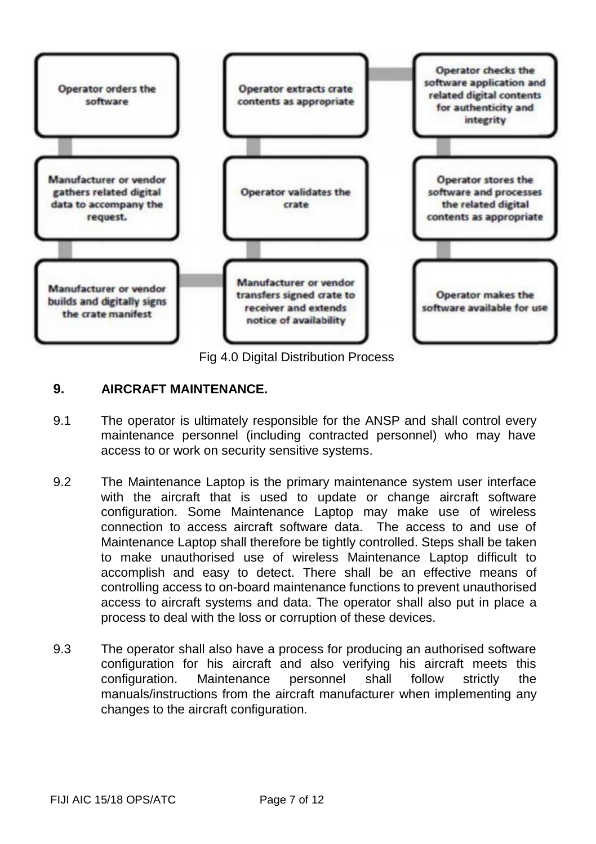

Fig 4.0 Digital Distribution Process

### **9. AIRCRAFT MAINTENANCE.**

- 9.1 The operator is ultimately responsible for the ANSP and shallcontrol every maintenance personnel (including contracted personnel) who may have access to or work on security sensitive systems.
- 9.2 The Maintenance Laptop is the primary maintenance system user interface with the aircraft that is used to update or change aircraft software configuration. Some Maintenance Laptop may make use of wireless connection to access aircraft software data. The access to and use of Maintenance Laptop shall therefore be tightly controlled. Steps shall be taken to make unauthorised use of wireless Maintenance Laptop difficult to accomplish and easy to detect. There shall be an effective means of controlling access to on-board maintenance functions to prevent unauthorised access to aircraft systems and data. The operator shall also put in place a process to deal with the loss or corruption of these devices.
- 9.3 The operator shall also have a process for producing an authorised software configuration for his aircraft and also verifying his aircraft meets this configuration. Maintenance personnel shall follow strictly the manuals/instructions from the aircraft manufacturer when implementing any changes to the aircraft configuration.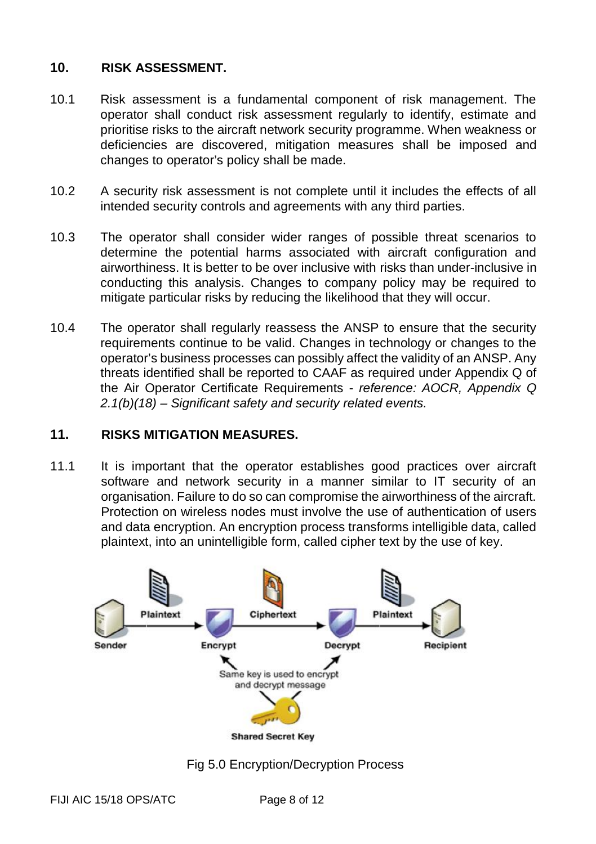### **10. RISK ASSESSMENT.**

- 10.1 Risk assessment is a fundamental component of risk management. The operator shall conduct risk assessment regularly to identify, estimate and prioritise risks to the aircraft network security programme. When weakness or deficiencies are discovered, mitigation measures shall be imposed and changes to operator's policy shall be made.
- 10.2 A security risk assessment is not complete until it includes the effects of all intended security controls and agreements with any third parties.
- 10.3 The operator shall consider wider ranges of possible threat scenarios to determine the potential harms associated with aircraft configuration and airworthiness. It is better to be over inclusive with risks than under-inclusive in conducting this analysis. Changes to company policy may be required to mitigate particular risks by reducing the likelihood that they will occur.
- 10.4 The operator shall regularly reassess the ANSP to ensure that the security requirements continue to be valid. Changes in technology or changes to the operator's business processes can possibly affect the validity of an ANSP. Any threats identified shall be reported to CAAF as required under Appendix Q of the Air Operator Certificate Requirements - *reference: AOCR, Appendix Q 2.1(b)(18) – Significant safety and security related events.*

#### **11. RISKS MITIGATION MEASURES.**

11.1 It is important that the operator establishes good practices over aircraft software and network security in a manner similar to IT security of an organisation. Failure to do so can compromise the airworthiness of the aircraft. Protection on wireless nodes must involve the use of authentication of users and data encryption. An encryption process transforms intelligible data, called plaintext, into an unintelligible form, called cipher text by the use of key.



Fig 5.0 Encryption/Decryption Process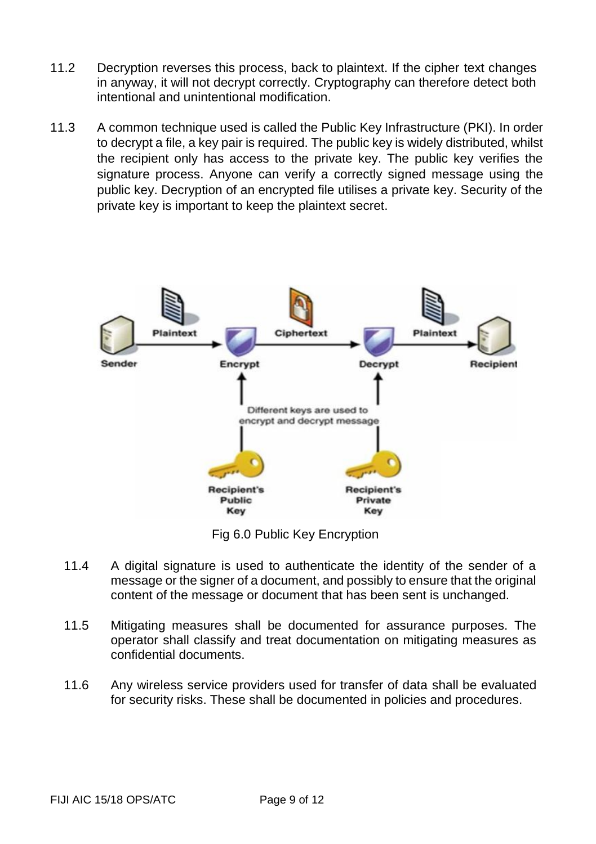- 11.2 Decryption reverses this process, back to plaintext. If the cipher text changes in anyway, it will not decrypt correctly. Cryptography can therefore detect both intentional and unintentional modification.
- 11.3 A common technique used is called the Public Key Infrastructure (PKI). In order to decrypt a file, a key pair is required. The public key is widely distributed, whilst the recipient only has access to the private key. The public key verifies the signature process. Anyone can verify a correctly signed message using the public key. Decryption of an encrypted file utilises a private key. Security of the private key is important to keep the plaintext secret.



Fig 6.0 Public Key Encryption

- 11.4 A digital signature is used to authenticate the identity of the sender of a message or the signer of a document, and possibly to ensure that the original content of the message or document that has been sent is unchanged.
- 11.5 Mitigating measures shall be documented for assurance purposes. The operator shall classify and treat documentation on mitigating measures as confidential documents.
- 11.6 Any wireless service providers used for transfer of data shall be evaluated for security risks. These shall be documented in policies and procedures.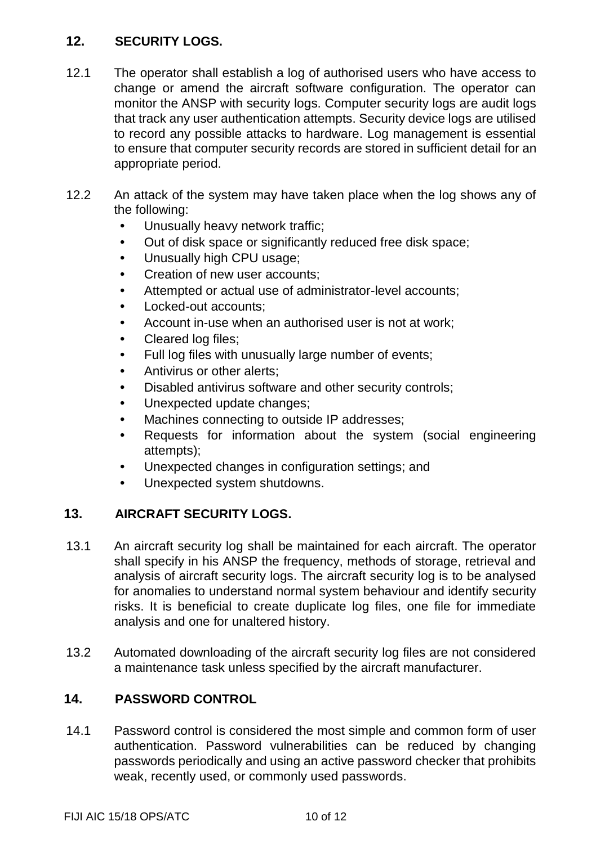# **12. SECURITY LOGS.**

- 12.1 The operator shall establish a log of authorised users who have access to change or amend the aircraft software configuration. The operator can monitor the ANSP with security logs. Computer security logs are audit logs that track any user authentication attempts. Security device logs are utilised to record any possible attacks to hardware. Log management is essential to ensure that computer security records are stored in sufficient detail for an appropriate period.
- 12.2 An attack of the system may have taken place when the log shows any of the following:
	- Unusually heavy network traffic;
	- Out of disk space or significantly reduced free disk space;
	- Unusually high CPU usage;
	- Creation of new user accounts:
	- Attempted or actual use of administrator-level accounts;
	- Locked-out accounts;
	- Account in-use when an authorised user is not at work:
	- Cleared log files;
	- Full log files with unusually large number of events;
	- Antivirus or other alerts;
	- Disabled antivirus software and other security controls;
	- Unexpected update changes;
	- Machines connecting to outside IP addresses;
	- Requests for information about the system (social engineering attempts);
	- Unexpected changes in configuration settings; and
	- Unexpected system shutdowns.

# **13. AIRCRAFT SECURITY LOGS.**

- 13.1 An aircraft security log shall be maintained for each aircraft. The operator shall specify in his ANSP the frequency, methods of storage, retrieval and analysis of aircraft security logs. The aircraft security log is to be analysed for anomalies to understand normal system behaviour and identify security risks. It is beneficial to create duplicate log files, one file for immediate analysis and one for unaltered history.
- 13.2 Automated downloading of the aircraft security log files are not considered a maintenance task unless specified by the aircraft manufacturer.

# **14. PASSWORD CONTROL**

14.1 Password control is considered the most simple and common form of user authentication. Password vulnerabilities can be reduced by changing passwords periodically and using an active password checker that prohibits weak, recently used, or commonly used passwords.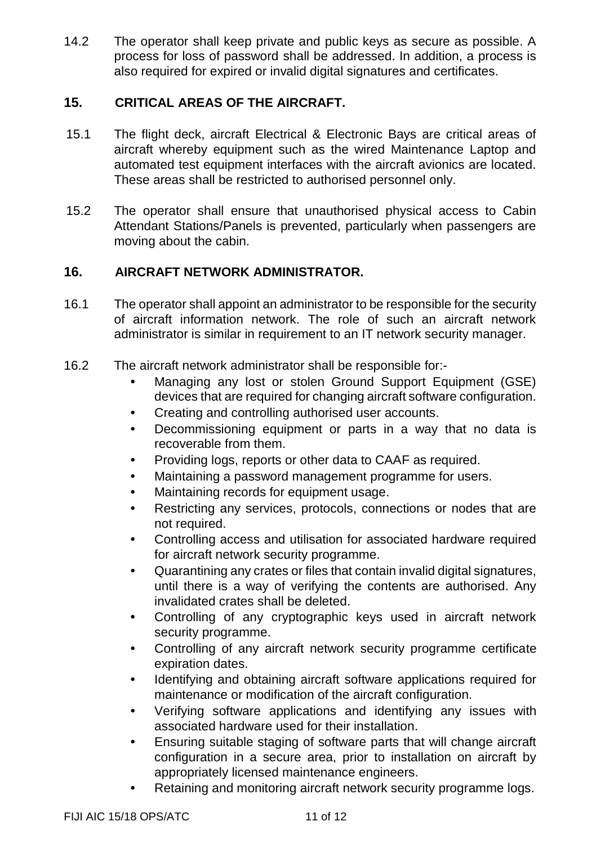14.2 The operator shall keep private and public keys as secure as possible. A process for loss of password shall be addressed. In addition, a process is also required for expired or invalid digital signatures and certificates.

# **15. CRITICAL AREAS OF THE AIRCRAFT.**

- 15.1 The flight deck, aircraft Electrical & Electronic Bays are critical areas of aircraft whereby equipment such as the wired Maintenance Laptop and automated test equipment interfaces with the aircraft avionics are located. These areas shall be restricted to authorised personnel only.
- 15.2 The operator shall ensure that unauthorised physical access to Cabin Attendant Stations/Panels is prevented, particularly when passengers are moving about the cabin.

### **16. AIRCRAFT NETWORK ADMINISTRATOR.**

- 16.1 The operator shall appoint an administrator to be responsible for the security of aircraft information network. The role of such an aircraft network administrator is similar in requirement to an IT network security manager.
- 16.2 The aircraft network administrator shall be responsible for:-
	- Managing any lost or stolen Ground Support Equipment (GSE) devices that are required for changing aircraft software configuration.
	- Creating and controlling authorised user accounts.
	- Decommissioning equipment or parts in a way that no data is recoverable from them.
	- Providing logs, reports or other data to CAAF as required.
	- Maintaining a password management programme for users.
	- Maintaining records for equipment usage.
	- Restricting any services, protocols, connections or nodes that are not required.
	- Controlling access and utilisation for associated hardware required for aircraft network security programme.
	- Quarantining any crates or files that contain invalid digital signatures, until there is a way of verifying the contents are authorised. Any invalidated crates shall be deleted.
	- Controlling of any cryptographic keys used in aircraft network security programme.
	- Controlling of any aircraft network security programme certificate expiration dates.
	- Identifying and obtaining aircraft software applications required for maintenance or modification of the aircraft configuration.
	- Verifying software applications and identifying any issues with associated hardware used for their installation.
	- Ensuring suitable staging of software parts that will change aircraft configuration in a secure area, prior to installation on aircraft by appropriately licensed maintenance engineers.
	- Retaining and monitoring aircraft network security programme logs.